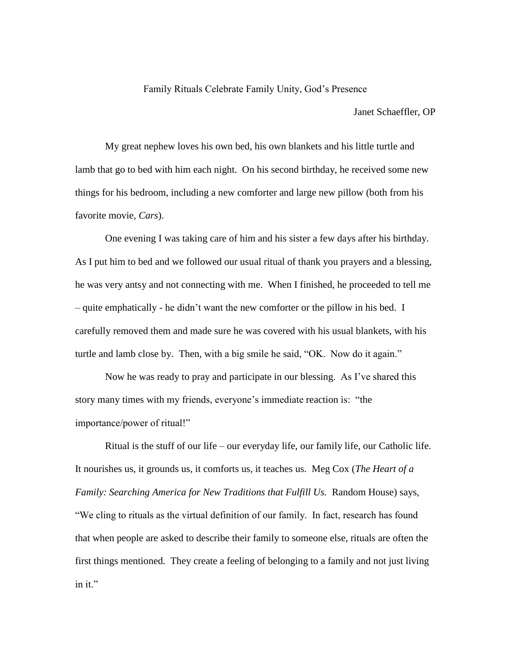## Family Rituals Celebrate Family Unity, God's Presence

Janet Schaeffler, OP

My great nephew loves his own bed, his own blankets and his little turtle and lamb that go to bed with him each night. On his second birthday, he received some new things for his bedroom, including a new comforter and large new pillow (both from his favorite movie, *Cars*).

One evening I was taking care of him and his sister a few days after his birthday. As I put him to bed and we followed our usual ritual of thank you prayers and a blessing, he was very antsy and not connecting with me. When I finished, he proceeded to tell me – quite emphatically - he didn't want the new comforter or the pillow in his bed. I carefully removed them and made sure he was covered with his usual blankets, with his turtle and lamb close by. Then, with a big smile he said, "OK. Now do it again."

Now he was ready to pray and participate in our blessing. As I've shared this story many times with my friends, everyone's immediate reaction is: "the importance/power of ritual!"

Ritual is the stuff of our life – our everyday life, our family life, our Catholic life. It nourishes us, it grounds us, it comforts us, it teaches us. Meg Cox (*The Heart of a Family: Searching America for New Traditions that Fulfill Us.* Random House) says, "We cling to rituals as the virtual definition of our family. In fact, research has found that when people are asked to describe their family to someone else, rituals are often the first things mentioned. They create a feeling of belonging to a family and not just living in it."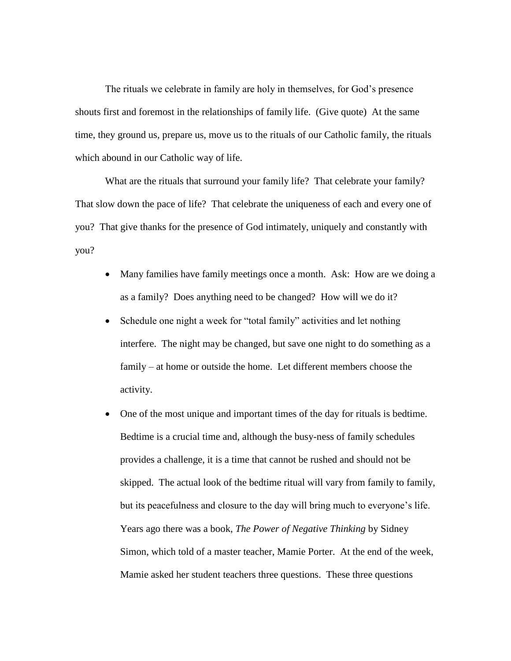The rituals we celebrate in family are holy in themselves, for God's presence shouts first and foremost in the relationships of family life. (Give quote) At the same time, they ground us, prepare us, move us to the rituals of our Catholic family, the rituals which abound in our Catholic way of life.

What are the rituals that surround your family life? That celebrate your family? That slow down the pace of life? That celebrate the uniqueness of each and every one of you? That give thanks for the presence of God intimately, uniquely and constantly with you?

- Many families have family meetings once a month. Ask: How are we doing a as a family? Does anything need to be changed? How will we do it?
- Schedule one night a week for "total family" activities and let nothing interfere. The night may be changed, but save one night to do something as a family – at home or outside the home. Let different members choose the activity.
- One of the most unique and important times of the day for rituals is bedtime. Bedtime is a crucial time and, although the busy-ness of family schedules provides a challenge, it is a time that cannot be rushed and should not be skipped. The actual look of the bedtime ritual will vary from family to family, but its peacefulness and closure to the day will bring much to everyone's life. Years ago there was a book, *The Power of Negative Thinking* by Sidney Simon, which told of a master teacher, Mamie Porter. At the end of the week, Mamie asked her student teachers three questions. These three questions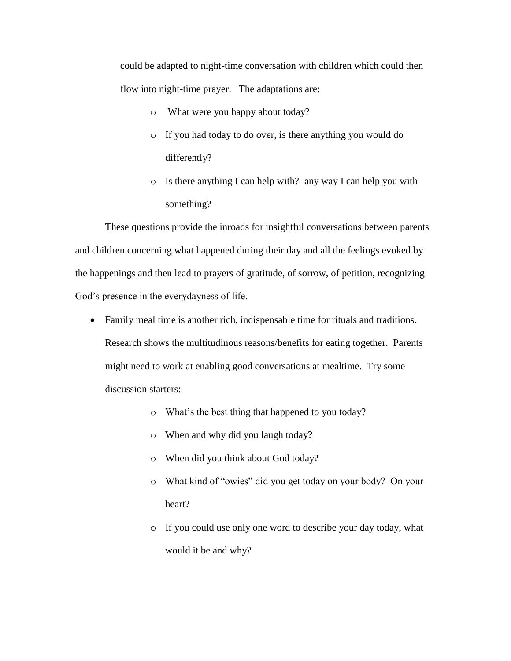could be adapted to night-time conversation with children which could then flow into night-time prayer. The adaptations are:

- o What were you happy about today?
- o If you had today to do over, is there anything you would do differently?
- o Is there anything I can help with? any way I can help you with something?

These questions provide the inroads for insightful conversations between parents and children concerning what happened during their day and all the feelings evoked by the happenings and then lead to prayers of gratitude, of sorrow, of petition, recognizing God's presence in the everydayness of life.

- Family meal time is another rich, indispensable time for rituals and traditions. Research shows the multitudinous reasons/benefits for eating together. Parents might need to work at enabling good conversations at mealtime. Try some discussion starters:
	- o What's the best thing that happened to you today?
	- o When and why did you laugh today?
	- o When did you think about God today?
	- o What kind of "owies" did you get today on your body? On your heart?
	- o If you could use only one word to describe your day today, what would it be and why?